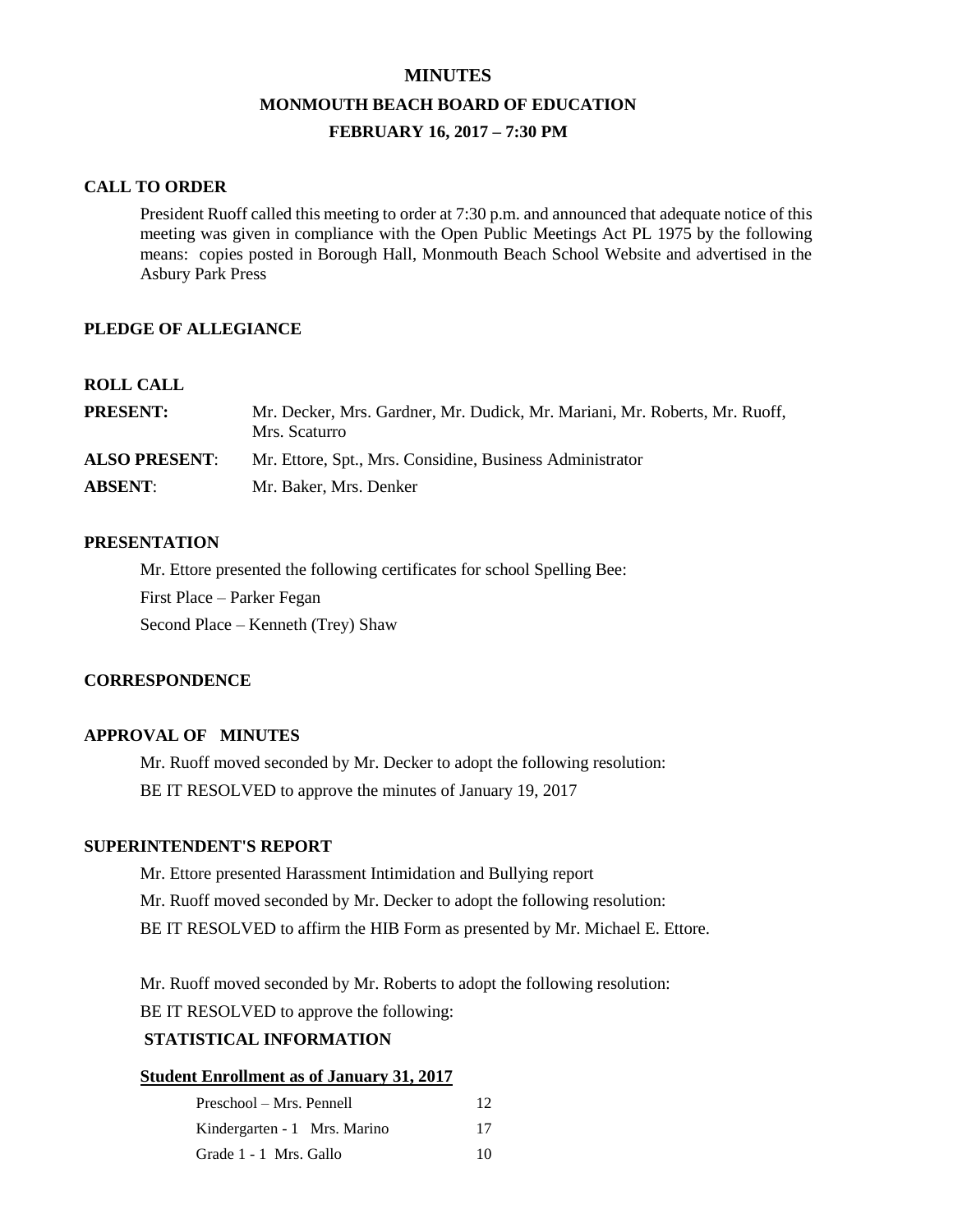# **MINUTES MONMOUTH BEACH BOARD OF EDUCATION FEBRUARY 16, 2017 – 7:30 PM**

## **CALL TO ORDER**

President Ruoff called this meeting to order at 7:30 p.m. and announced that adequate notice of this meeting was given in compliance with the Open Public Meetings Act PL 1975 by the following means: copies posted in Borough Hall, Monmouth Beach School Website and advertised in the Asbury Park Press

## **PLEDGE OF ALLEGIANCE**

## **ROLL CALL**

| <b>PRESENT:</b>      | Mr. Decker, Mrs. Gardner, Mr. Dudick, Mr. Mariani, Mr. Roberts, Mr. Ruoff,<br>Mrs. Scaturro |
|----------------------|---------------------------------------------------------------------------------------------|
| <b>ALSO PRESENT:</b> | Mr. Ettore, Spt., Mrs. Considine, Business Administrator                                    |
| <b>ABSENT:</b>       | Mr. Baker, Mrs. Denker                                                                      |

## **PRESENTATION**

Mr. Ettore presented the following certificates for school Spelling Bee: First Place – Parker Fegan Second Place – Kenneth (Trey) Shaw

## **CORRESPONDENCE**

## **APPROVAL OF MINUTES**

Mr. Ruoff moved seconded by Mr. Decker to adopt the following resolution: BE IT RESOLVED to approve the minutes of January 19, 2017

## **SUPERINTENDENT'S REPORT**

Mr. Ettore presented Harassment Intimidation and Bullying report Mr. Ruoff moved seconded by Mr. Decker to adopt the following resolution: BE IT RESOLVED to affirm the HIB Form as presented by Mr. Michael E. Ettore.

Mr. Ruoff moved seconded by Mr. Roberts to adopt the following resolution:

BE IT RESOLVED to approve the following:

## **STATISTICAL INFORMATION**

## **Student Enrollment as of January 31, 2017**

| Preschool – Mrs. Pennell     | 12 <sup>°</sup> |
|------------------------------|-----------------|
| Kindergarten - 1 Mrs. Marino | 17              |
| Grade 1 - 1 Mrs. Gallo       | 10              |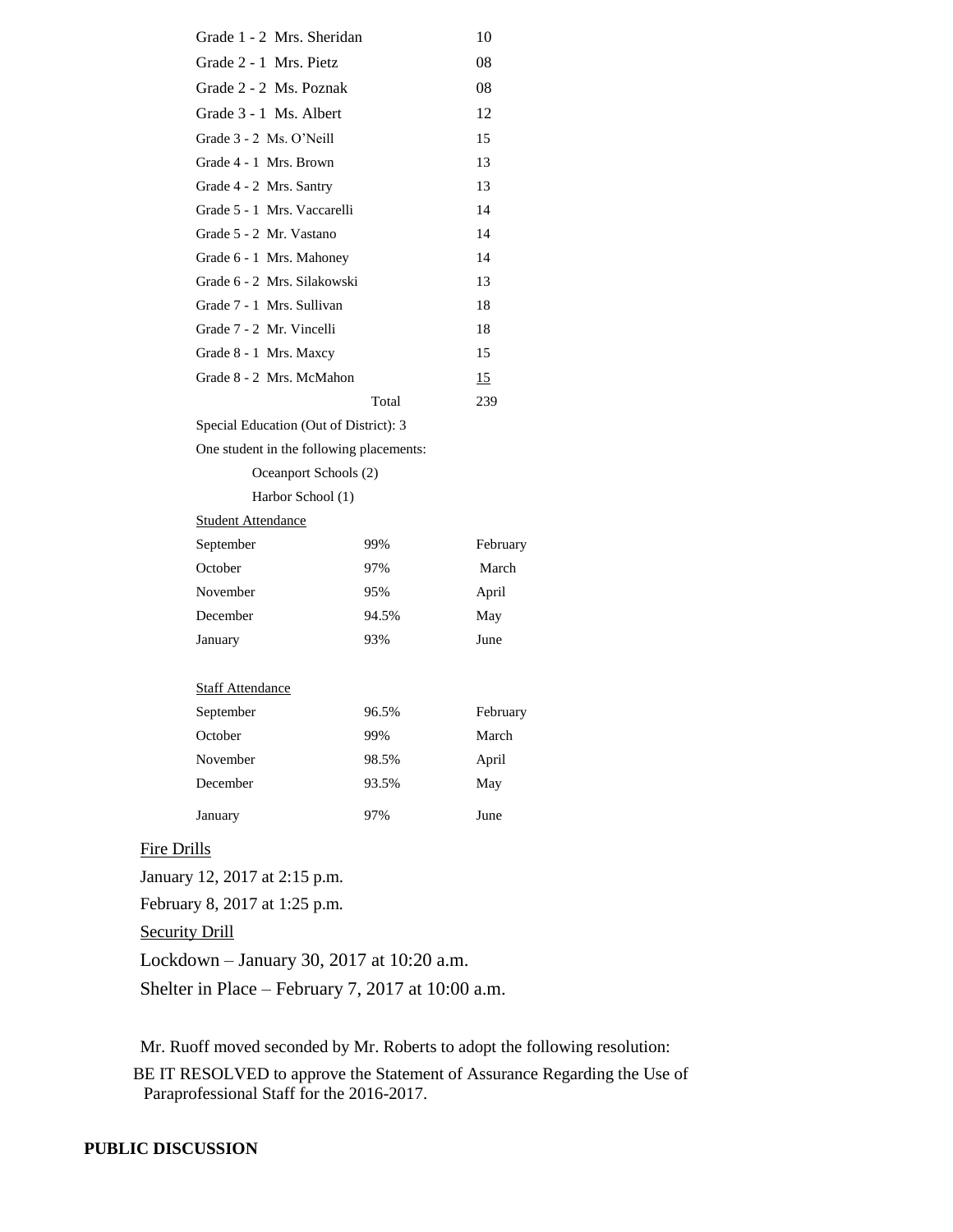| Grade 1 - 2 Mrs. Sheridan                |       | 10       |  |  |
|------------------------------------------|-------|----------|--|--|
| Grade 2 - 1 Mrs. Pietz                   |       | 08       |  |  |
| Grade 2 - 2 Ms. Poznak                   |       | 08       |  |  |
| Grade 3 - 1 Ms. Albert                   |       | 12       |  |  |
| Grade 3 - 2 Ms. O'Neill                  |       | 15       |  |  |
| Grade 4 - 1 Mrs. Brown                   |       | 13       |  |  |
| Grade 4 - 2 Mrs. Santry                  |       | 13       |  |  |
| Grade 5 - 1 Mrs. Vaccarelli              |       | 14       |  |  |
| Grade 5 - 2 Mr. Vastano                  |       | 14       |  |  |
| Grade 6 - 1 Mrs. Mahoney                 |       | 14       |  |  |
| Grade 6 - 2 Mrs. Silakowski              |       | 13       |  |  |
| Grade 7 - 1 Mrs. Sullivan                |       | 18       |  |  |
| Grade 7 - 2 Mr. Vincelli                 |       | 18       |  |  |
| Grade 8 - 1 Mrs. Maxcy                   |       | 15       |  |  |
| Grade 8 - 2 Mrs. McMahon                 |       | 15       |  |  |
|                                          | Total | 239      |  |  |
| Special Education (Out of District): 3   |       |          |  |  |
| One student in the following placements: |       |          |  |  |
| Oceanport Schools (2)                    |       |          |  |  |
| Harbor School (1)                        |       |          |  |  |
| <b>Student Attendance</b>                |       |          |  |  |
| September                                | 99%   | February |  |  |
| October                                  | 97%   | March    |  |  |
| November                                 | 95%   | April    |  |  |
| December                                 | 94.5% | May      |  |  |
| January                                  | 93%   | June     |  |  |
|                                          |       |          |  |  |
| <b>Staff Attendance</b>                  |       |          |  |  |
| September                                | 96.5% | February |  |  |
| October                                  | 99%   | March    |  |  |
| November                                 | 98.5% | April    |  |  |
| December                                 | 93.5% | May      |  |  |
| January                                  | 97%   | June     |  |  |

## Fire Drills

January 12, 2017 at 2:15 p.m.

February 8, 2017 at 1:25 p.m.

**Security Drill** 

Lockdown – January 30, 2017 at 10:20 a.m.

Shelter in Place – February 7, 2017 at 10:00 a.m.

Mr. Ruoff moved seconded by Mr. Roberts to adopt the following resolution:

BE IT RESOLVED to approve the Statement of Assurance Regarding the Use of Paraprofessional Staff for the 2016-2017.

## **PUBLIC DISCUSSION**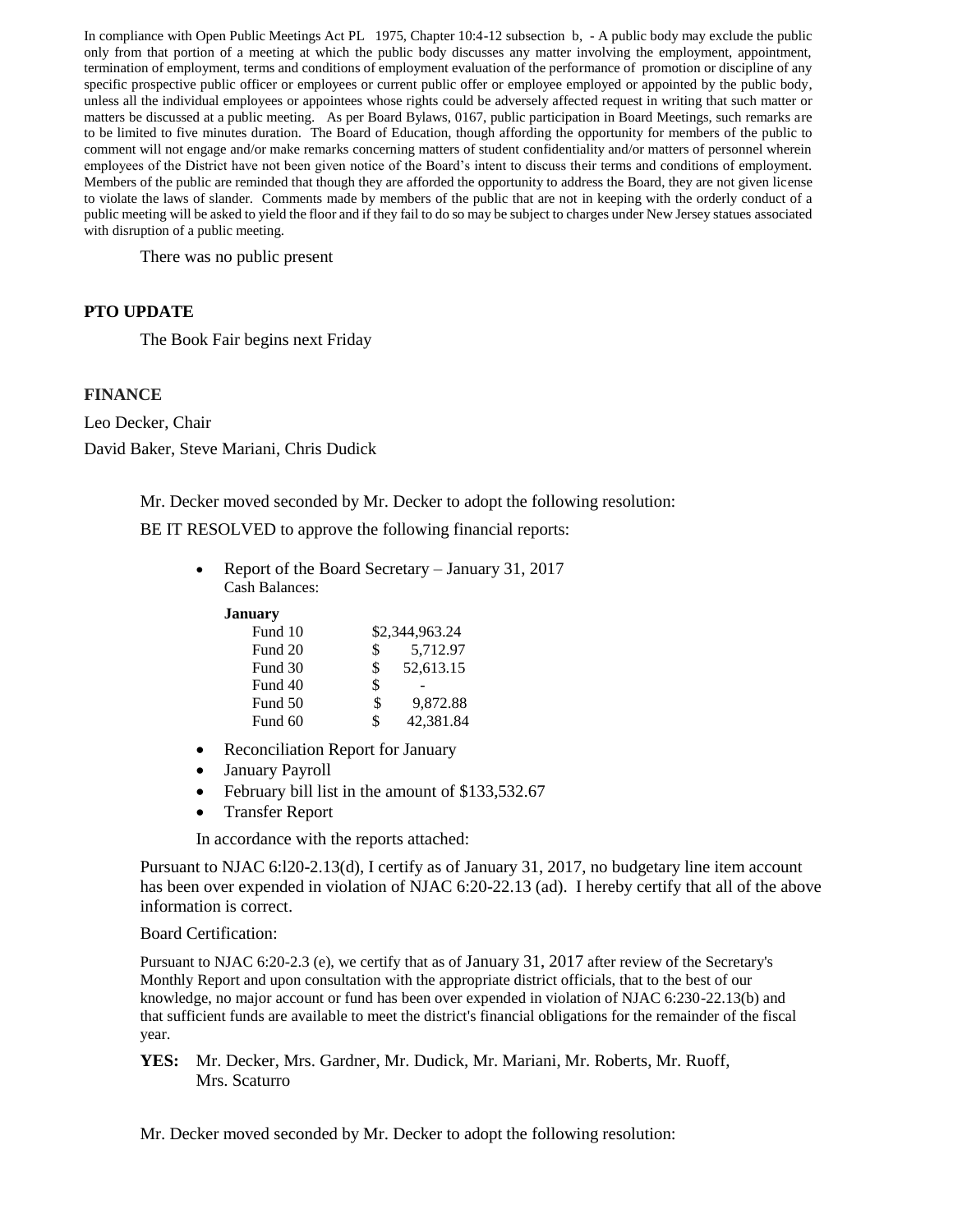In compliance with Open Public Meetings Act PL 1975, Chapter 10:4-12 subsection b, - A public body may exclude the public only from that portion of a meeting at which the public body discusses any matter involving the employment, appointment, termination of employment, terms and conditions of employment evaluation of the performance of promotion or discipline of any specific prospective public officer or employees or current public offer or employee employed or appointed by the public body, unless all the individual employees or appointees whose rights could be adversely affected request in writing that such matter or matters be discussed at a public meeting. As per Board Bylaws, 0167, public participation in Board Meetings, such remarks are to be limited to five minutes duration. The Board of Education, though affording the opportunity for members of the public to comment will not engage and/or make remarks concerning matters of student confidentiality and/or matters of personnel wherein employees of the District have not been given notice of the Board's intent to discuss their terms and conditions of employment. Members of the public are reminded that though they are afforded the opportunity to address the Board, they are not given license to violate the laws of slander. Comments made by members of the public that are not in keeping with the orderly conduct of a public meeting will be asked to yield the floor and if they fail to do so may be subject to charges under New Jersey statues associated with disruption of a public meeting.

There was no public present

## **PTO UPDATE**

The Book Fair begins next Friday

## **FINANCE**

Leo Decker, Chair David Baker, Steve Mariani, Chris Dudick

Mr. Decker moved seconded by Mr. Decker to adopt the following resolution:

BE IT RESOLVED to approve the following financial reports:

 Report of the Board Secretary – January 31, 2017 Cash Balances:

#### **January**

| Fund 10 |    | \$2,344,963.24 |  |
|---------|----|----------------|--|
| Fund 20 | S  | 5,712.97       |  |
| Fund 30 | \$ | 52,613.15      |  |
| Fund 40 | \$ |                |  |
| Fund 50 | \$ | 9.872.88       |  |
| Fund 60 | \$ | 42,381.84      |  |

- Reconciliation Report for January
- January Payroll
- February bill list in the amount of \$133,532.67
- Transfer Report

In accordance with the reports attached:

Pursuant to NJAC 6:l20-2.13(d), I certify as of January 31, 2017, no budgetary line item account has been over expended in violation of NJAC 6:20-22.13 (ad). I hereby certify that all of the above information is correct.

### Board Certification:

Pursuant to NJAC 6:20-2.3 (e), we certify that as of January 31, 2017 after review of the Secretary's Monthly Report and upon consultation with the appropriate district officials, that to the best of our knowledge, no major account or fund has been over expended in violation of NJAC 6:230-22.13(b) and that sufficient funds are available to meet the district's financial obligations for the remainder of the fiscal year.

**YES:** Mr. Decker, Mrs. Gardner, Mr. Dudick, Mr. Mariani, Mr. Roberts, Mr. Ruoff, Mrs. Scaturro

Mr. Decker moved seconded by Mr. Decker to adopt the following resolution: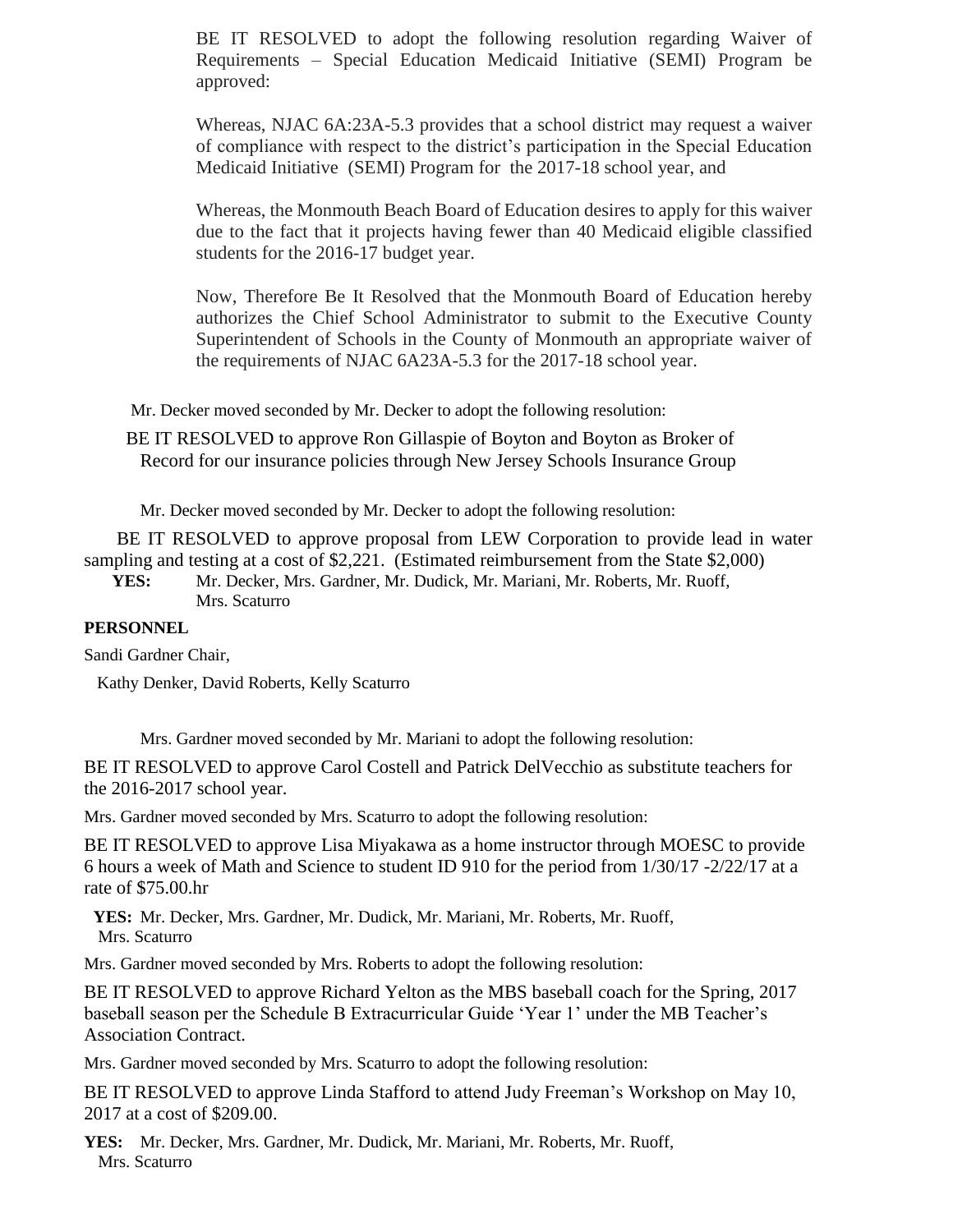BE IT RESOLVED to adopt the following resolution regarding Waiver of Requirements – Special Education Medicaid Initiative (SEMI) Program be approved:

Whereas, NJAC 6A:23A-5.3 provides that a school district may request a waiver of compliance with respect to the district's participation in the Special Education Medicaid Initiative (SEMI) Program for the 2017-18 school year, and

Whereas, the Monmouth Beach Board of Education desires to apply for this waiver due to the fact that it projects having fewer than 40 Medicaid eligible classified students for the 2016-17 budget year.

Now, Therefore Be It Resolved that the Monmouth Board of Education hereby authorizes the Chief School Administrator to submit to the Executive County Superintendent of Schools in the County of Monmouth an appropriate waiver of the requirements of NJAC 6A23A-5.3 for the 2017-18 school year.

Mr. Decker moved seconded by Mr. Decker to adopt the following resolution:

BE IT RESOLVED to approve Ron Gillaspie of Boyton and Boyton as Broker of Record for our insurance policies through New Jersey Schools Insurance Group

Mr. Decker moved seconded by Mr. Decker to adopt the following resolution:

BE IT RESOLVED to approve proposal from LEW Corporation to provide lead in water sampling and testing at a cost of \$2,221. (Estimated reimbursement from the State \$2,000)

**YES:** Mr. Decker, Mrs. Gardner, Mr. Dudick, Mr. Mariani, Mr. Roberts, Mr. Ruoff, Mrs. Scaturro

## **PERSONNEL**

Sandi Gardner Chair,

Kathy Denker, David Roberts, Kelly Scaturro

Mrs. Gardner moved seconded by Mr. Mariani to adopt the following resolution:

BE IT RESOLVED to approve Carol Costell and Patrick DelVecchio as substitute teachers for the 2016-2017 school year.

Mrs. Gardner moved seconded by Mrs. Scaturro to adopt the following resolution:

BE IT RESOLVED to approve Lisa Miyakawa as a home instructor through MOESC to provide 6 hours a week of Math and Science to student ID 910 for the period from 1/30/17 -2/22/17 at a rate of \$75.00.hr

**YES:** Mr. Decker, Mrs. Gardner, Mr. Dudick, Mr. Mariani, Mr. Roberts, Mr. Ruoff, Mrs. Scaturro

Mrs. Gardner moved seconded by Mrs. Roberts to adopt the following resolution:

BE IT RESOLVED to approve Richard Yelton as the MBS baseball coach for the Spring, 2017 baseball season per the Schedule B Extracurricular Guide 'Year 1' under the MB Teacher's Association Contract.

Mrs. Gardner moved seconded by Mrs. Scaturro to adopt the following resolution:

BE IT RESOLVED to approve Linda Stafford to attend Judy Freeman's Workshop on May 10, 2017 at a cost of \$209.00.

**YES:** Mr. Decker, Mrs. Gardner, Mr. Dudick, Mr. Mariani, Mr. Roberts, Mr. Ruoff, Mrs. Scaturro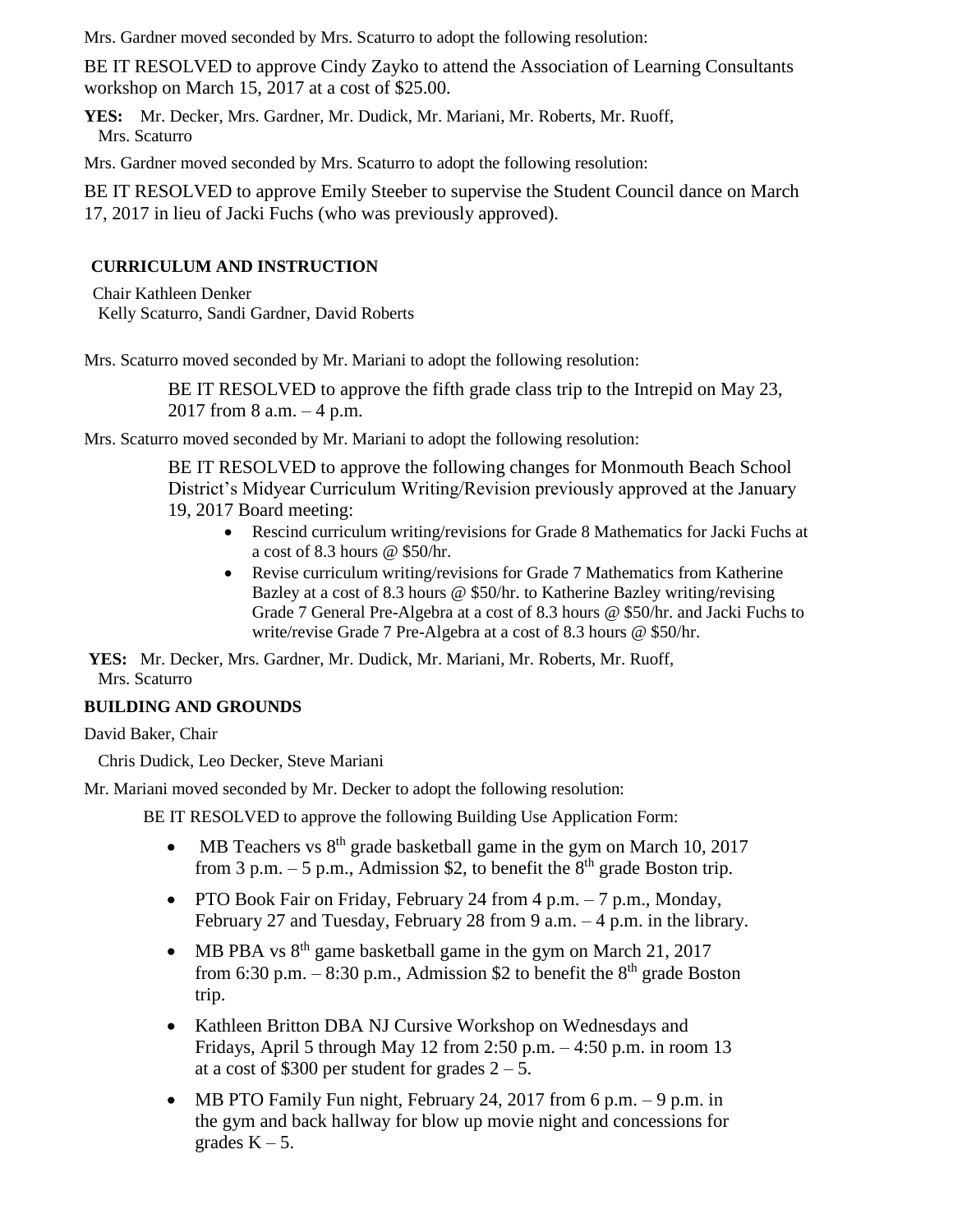Mrs. Gardner moved seconded by Mrs. Scaturro to adopt the following resolution:

BE IT RESOLVED to approve Cindy Zayko to attend the Association of Learning Consultants workshop on March 15, 2017 at a cost of \$25.00.

**YES:** Mr. Decker, Mrs. Gardner, Mr. Dudick, Mr. Mariani, Mr. Roberts, Mr. Ruoff, Mrs. Scaturro

Mrs. Gardner moved seconded by Mrs. Scaturro to adopt the following resolution:

BE IT RESOLVED to approve Emily Steeber to supervise the Student Council dance on March 17, 2017 in lieu of Jacki Fuchs (who was previously approved).

## **CURRICULUM AND INSTRUCTION**

Chair Kathleen Denker Kelly Scaturro, Sandi Gardner, David Roberts

Mrs. Scaturro moved seconded by Mr. Mariani to adopt the following resolution:

BE IT RESOLVED to approve the fifth grade class trip to the Intrepid on May 23, 2017 from 8 a.m. – 4 p.m.

Mrs. Scaturro moved seconded by Mr. Mariani to adopt the following resolution:

BE IT RESOLVED to approve the following changes for Monmouth Beach School District's Midyear Curriculum Writing/Revision previously approved at the January 19, 2017 Board meeting:

- Rescind curriculum writing/revisions for Grade 8 Mathematics for Jacki Fuchs at a cost of 8.3 hours @ \$50/hr.
- Revise curriculum writing/revisions for Grade 7 Mathematics from Katherine Bazley at a cost of 8.3 hours @ \$50/hr. to Katherine Bazley writing/revising Grade 7 General Pre-Algebra at a cost of 8.3 hours @ \$50/hr. and Jacki Fuchs to write/revise Grade 7 Pre-Algebra at a cost of 8.3 hours @ \$50/hr.

**YES:** Mr. Decker, Mrs. Gardner, Mr. Dudick, Mr. Mariani, Mr. Roberts, Mr. Ruoff, Mrs. Scaturro

## **BUILDING AND GROUNDS**

David Baker, Chair

Chris Dudick, Leo Decker, Steve Mariani

Mr. Mariani moved seconded by Mr. Decker to adopt the following resolution:

BE IT RESOLVED to approve the following Building Use Application Form:

- MB Teachers vs  $8<sup>th</sup>$  grade basketball game in the gym on March 10, 2017 from 3 p.m.  $-5$  p.m., Admission \$2, to benefit the  $8<sup>th</sup>$  grade Boston trip.
- PTO Book Fair on Friday, February 24 from 4 p.m. 7 p.m., Monday, February 27 and Tuesday, February 28 from 9 a.m. – 4 p.m. in the library.
- MB PBA vs  $8<sup>th</sup>$  game basketball game in the gym on March 21, 2017 from 6:30 p.m. – 8:30 p.m., Admission \$2 to benefit the  $8<sup>th</sup>$  grade Boston trip.
- Kathleen Britton DBA NJ Cursive Workshop on Wednesdays and Fridays, April 5 through May 12 from 2:50 p.m. – 4:50 p.m. in room 13 at a cost of \$300 per student for grades  $2 - 5$ .
- MB PTO Family Fun night, February 24, 2017 from 6 p.m.  $-9$  p.m. in the gym and back hallway for blow up movie night and concessions for grades  $K - 5$ .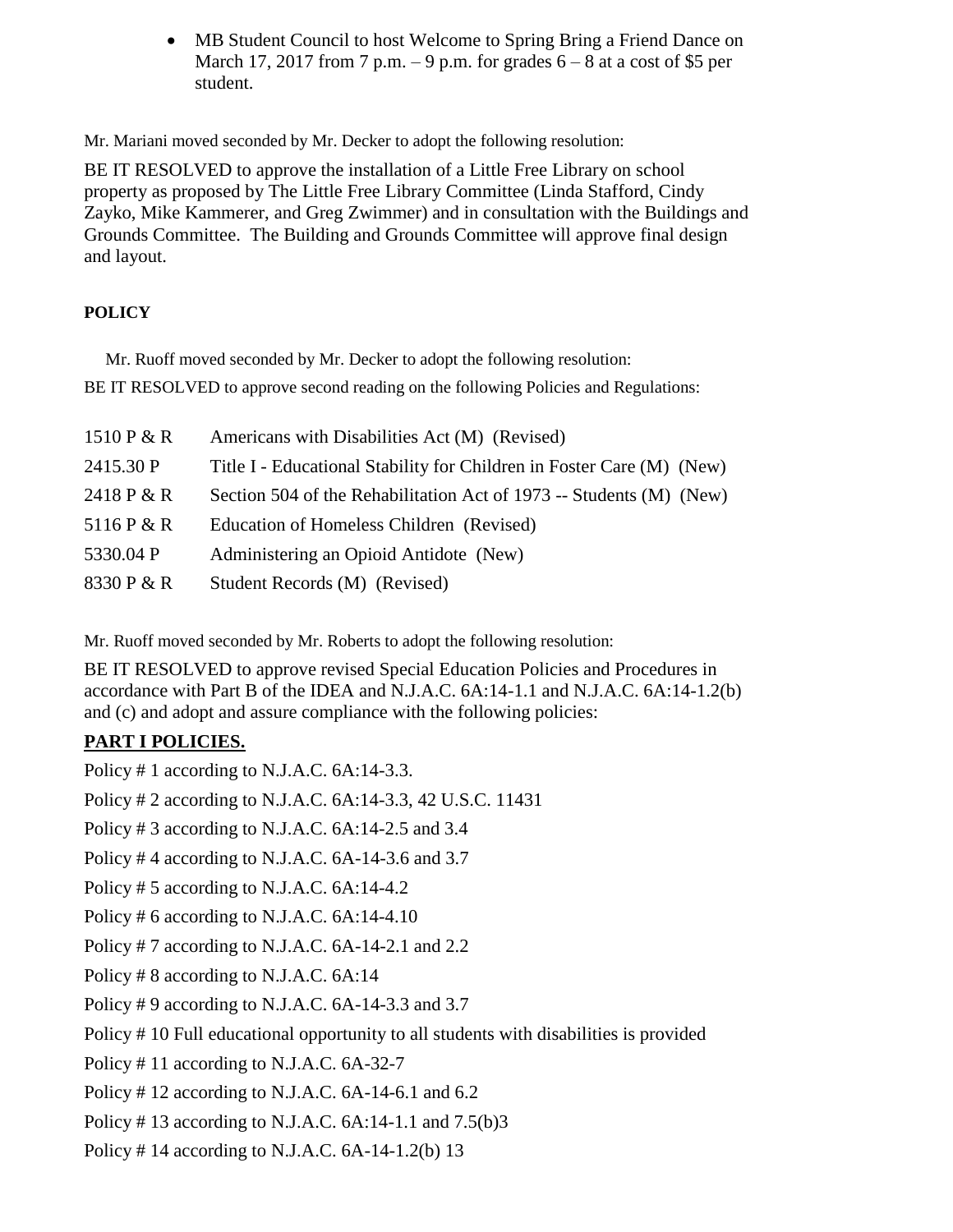• MB Student Council to host Welcome to Spring Bring a Friend Dance on March 17, 2017 from 7 p.m. – 9 p.m. for grades  $6 - 8$  at a cost of \$5 per student.

Mr. Mariani moved seconded by Mr. Decker to adopt the following resolution:

BE IT RESOLVED to approve the installation of a Little Free Library on school property as proposed by The Little Free Library Committee (Linda Stafford, Cindy Zayko, Mike Kammerer, and Greg Zwimmer) and in consultation with the Buildings and Grounds Committee. The Building and Grounds Committee will approve final design and layout.

# **POLICY**

Mr. Ruoff moved seconded by Mr. Decker to adopt the following resolution: BE IT RESOLVED to approve second reading on the following Policies and Regulations:

| 1510 $P & R$ | Americans with Disabilities Act (M) (Revised)                         |
|--------------|-----------------------------------------------------------------------|
| 2415.30 P    | Title I - Educational Stability for Children in Foster Care (M) (New) |
| 2418 P & R   | Section 504 of the Rehabilitation Act of 1973 -- Students (M) (New)   |
| 5116 P & R   | Education of Homeless Children (Revised)                              |
| 5330.04 P    | Administering an Opioid Antidote (New)                                |
| 8330 P & R   | Student Records (M) (Revised)                                         |

Mr. Ruoff moved seconded by Mr. Roberts to adopt the following resolution:

BE IT RESOLVED to approve revised Special Education Policies and Procedures in accordance with Part B of the IDEA and N.J.A.C. 6A:14-1.1 and N.J.A.C. 6A:14-1.2(b) and (c) and adopt and assure compliance with the following policies:

# **PART I POLICIES.**

Policy # 1 according to N.J.A.C. 6A:14-3.3. Policy # 2 according to N.J.A.C. 6A:14-3.3, 42 U.S.C. 11431 Policy # 3 according to N.J.A.C. 6A:14-2.5 and 3.4 Policy # 4 according to N.J.A.C. 6A-14-3.6 and 3.7 Policy # 5 according to N.J.A.C. 6A:14-4.2 Policy # 6 according to N.J.A.C. 6A:14-4.10 Policy # 7 according to N.J.A.C. 6A-14-2.1 and 2.2 Policy # 8 according to N.J.A.C. 6A:14 Policy # 9 according to N.J.A.C. 6A-14-3.3 and 3.7 Policy # 10 Full educational opportunity to all students with disabilities is provided Policy # 11 according to N.J.A.C. 6A-32-7 Policy # 12 according to N.J.A.C. 6A-14-6.1 and 6.2 Policy # 13 according to N.J.A.C. 6A:14-1.1 and 7.5(b)3

Policy # 14 according to N.J.A.C. 6A-14-1.2(b) 13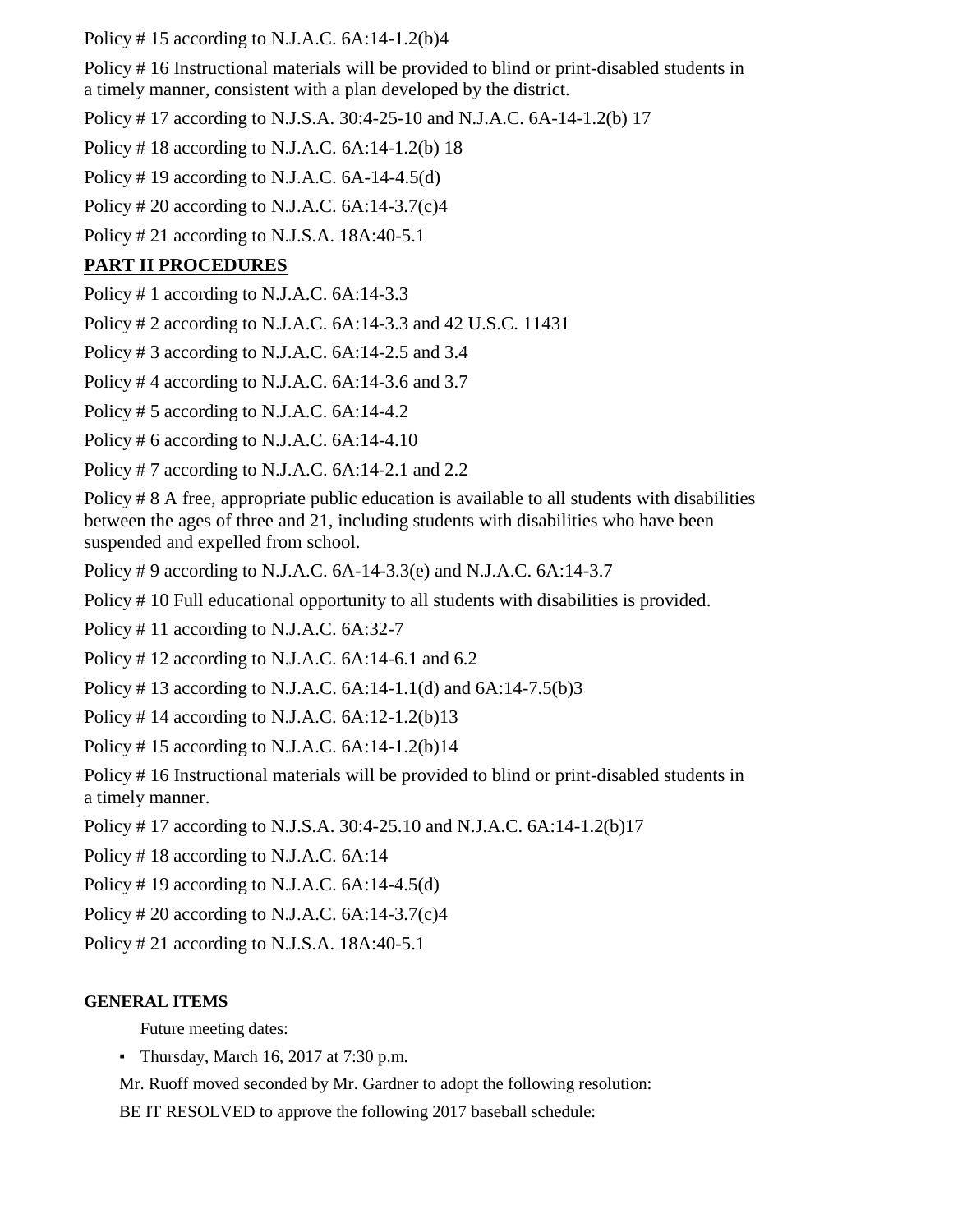Policy #15 according to N.J.A.C.  $6A:14-1.2(b)4$ 

Policy # 16 Instructional materials will be provided to blind or print-disabled students in a timely manner, consistent with a plan developed by the district.

Policy # 17 according to N.J.S.A. 30:4-25-10 and N.J.A.C. 6A-14-1.2(b) 17

Policy # 18 according to N.J.A.C. 6A:14-1.2(b) 18

Policy # 19 according to N.J.A.C.  $6A-14-4.5(d)$ 

Policy # 20 according to N.J.A.C.  $6A:14-3.7(c)4$ 

Policy # 21 according to N.J.S.A. 18A:40-5.1

# **PART II PROCEDURES**

Policy # 1 according to N.J.A.C. 6A:14-3.3

Policy # 2 according to N.J.A.C. 6A:14-3.3 and 42 U.S.C. 11431

Policy # 3 according to N.J.A.C. 6A:14-2.5 and 3.4

Policy # 4 according to N.J.A.C. 6A:14-3.6 and 3.7

Policy # 5 according to N.J.A.C. 6A:14-4.2

Policy # 6 according to N.J.A.C. 6A:14-4.10

Policy # 7 according to N.J.A.C. 6A:14-2.1 and 2.2

Policy # 8 A free, appropriate public education is available to all students with disabilities between the ages of three and 21, including students with disabilities who have been suspended and expelled from school.

Policy # 9 according to N.J.A.C. 6A-14-3.3(e) and N.J.A.C. 6A:14-3.7

Policy # 10 Full educational opportunity to all students with disabilities is provided.

Policy # 11 according to N.J.A.C. 6A:32-7

Policy # 12 according to N.J.A.C. 6A:14-6.1 and 6.2

Policy # 13 according to N.J.A.C. 6A:14-1.1(d) and 6A:14-7.5(b)3

Policy #14 according to N.J.A.C.  $6A:12-1.2(b)13$ 

Policy # 15 according to N.J.A.C.  $6A:14-1.2(b)14$ 

Policy # 16 Instructional materials will be provided to blind or print-disabled students in a timely manner.

Policy # 17 according to N.J.S.A. 30:4-25.10 and N.J.A.C. 6A:14-1.2(b)17

Policy # 18 according to N.J.A.C. 6A:14

Policy # 19 according to N.J.A.C. 6A:14-4.5(d)

Policy # 20 according to N.J.A.C. 6A:14-3.7(c)4

Policy # 21 according to N.J.S.A. 18A:40-5.1

# **GENERAL ITEMS**

Future meeting dates:

• Thursday, March 16, 2017 at 7:30 p.m.

Mr. Ruoff moved seconded by Mr. Gardner to adopt the following resolution:

BE IT RESOLVED to approve the following 2017 baseball schedule: